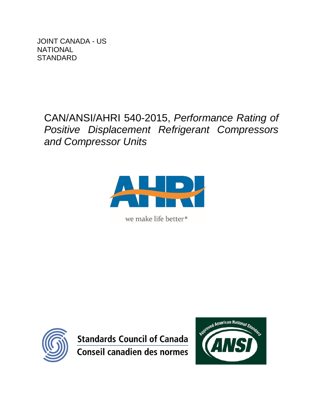JOINT CANADA - US **NATIONAL STANDARD** 

> CAN/ANSI/AHRI 540-2015, *Performance Rating of Positive Displacement Refrigerant Compressors and Compressor Units*



we make life better<sup>®</sup>



**Standards Council of Canada Conseil canadien des normes** 

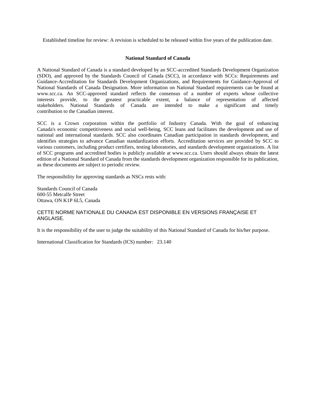Established timeline for review: A revision is scheduled to be released within five years of the publication date.

#### **National Standard of Canada**

A National Standard of Canada is a standard developed by an SCC-accredited Standards Development Organization (SDO), and approved by the Standards Council of Canada (SCC), in accordance with SCCs: Requirements and Guidance-Accreditation for Standards Development Organizations, and Requirements for Guidance-Approval of National Standards of Canada Designation. More information on National Standard requirements can be found at www.scc.ca. An SCC-approved standard reflects the consensus of a number of experts whose collective interests provide, to the greatest practicable extent, a balance of representation of affected stakeholders. National Standards of Canada are intended to make a significant and timely contribution to the Canadian interest.

SCC is a Crown corporation within the portfolio of Industry Canada. With the goal of enhancing Canada's economic competitiveness and social well-being, SCC leans and facilitates the development and use of national and international standards. SCC also coordinates Canadian participation in standards development, and identifies strategies to advance Canadian standardization efforts. Accreditation services are provided by SCC to various customers, including product certifiers, testing laboratories, and standards development organizations. A list of SCC programs and accredited bodies is publicly available at www.scc.ca. Users should always obtain the latest edition of a National Standard of Canada from the standards development organization responsible for its publication, as these documents are subject to periodic review.

The responsibility for approving standards as NSCs rests with:

Standards Council of Canada 600-55 Metcalfe Street Ottawa, ON K1P 6L5, Canada

#### CETTE NORME NATIONALE DU CANADA EST DISPONIBLE EN VERSIONS FRANÇAISE ET ANGLAISE.

It is the responsibility of the user to judge the suitability of this National Standard of Canada for his/her purpose.

International Classification for Standards (ICS) number: 23.140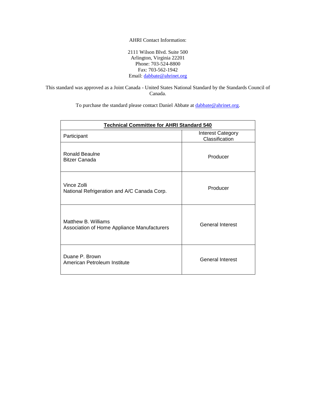#### AHRI Contact Information:

2111 Wilson Blvd. Suite 500 Arlington, Virginia 22201 Phone: 703-524-8800 Fax: 703-562-1942 Email[: dabbate@ahrinet.org](mailto:dabbate@ahrinet.org)

This standard was approved as a Joint Canada - United States National Standard by the Standards Council of Canada.

To purchase the standard please contact Daniel Abbate a[t dabbate@ahrinet.org.](mailto:dabbate@ahrinet.org)

| <b>Technical Committee for AHRI Standard 540</b>                   |                                            |  |  |
|--------------------------------------------------------------------|--------------------------------------------|--|--|
| Participant                                                        | <b>Interest Category</b><br>Classification |  |  |
| <b>Ronald Beaulne</b><br><b>Bitzer Canada</b>                      | Producer                                   |  |  |
| Vince Zolli<br>National Refrigeration and A/C Canada Corp.         | Producer                                   |  |  |
| Matthew B. Williams<br>Association of Home Appliance Manufacturers | <b>General Interest</b>                    |  |  |
| Duane P. Brown<br>American Petroleum Institute                     | <b>General Interest</b>                    |  |  |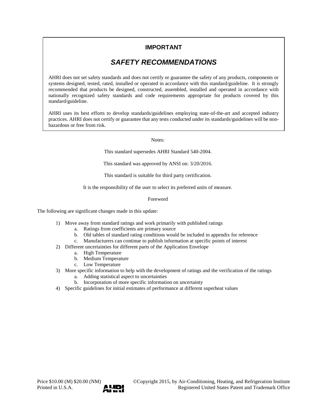## **IMPORTANT**

# *SAFETY RECOMMENDATIONS*

AHRI does not set safety standards and does not certify or guarantee the safety of any products, components or systems designed, tested, rated, installed or operated in accordance with this standard/guideline. It is strongly recommended that products be designed, constructed, assembled, installed and operated in accordance with nationally recognized safety standards and code requirements appropriate for products covered by this standard/guideline.

AHRI uses its best efforts to develop standards/guidelines employing state-of-the-art and accepted industry practices. AHRI does not certify or guarantee that any tests conducted under its standards/guidelines will be nonhazardous or free from risk.

Notes:

This standard supersedes AHRI Standard 540-2004.

This standard was approved by ANSI on: 3/20/2016.

This standard is suitable for third party certification.

It is the responsibility of the user to select its preferred units of measure.

#### Foreword

The following are significant changes made in this update:

- 1) Move away from standard ratings and work primarily with published ratings
	- a. Ratings from coefficients are primary source
	- b. Old tables of standard rating conditions would be included in appendix for reference
	- c. Manufacturers can continue to publish information at specific points of interest
- 2) Different uncertainties for different parts of the Application Envelope
	- a. High Temperature
		- b. Medium Temperature
	- c. Low Temperature
- 3) More specific information to help with the development of ratings and the verification of the ratings a. Adding statistical aspect to uncertainties
	- b. Incorporation of more specific information on uncertainty
- 4) Specific guidelines for initial estimates of performance at different superheat values

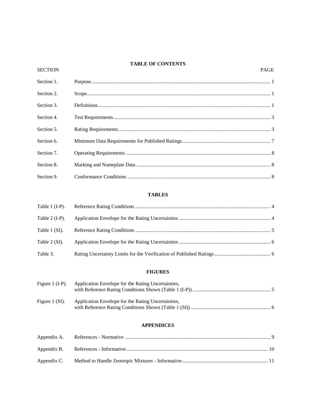### **TABLE OF CONTENTS**

#### SECTION PAGE

| Section 1. |  |
|------------|--|
| Section 2. |  |
| Section 3. |  |
| Section 4. |  |
| Section 5. |  |
| Section 6. |  |
| Section 7. |  |
| Section 8. |  |
| Section 9. |  |

### **TABLES**

| Table $2$ (I-P). |  |
|------------------|--|
| Table 1 (SI).    |  |
| Table 2 (SI).    |  |
| Table 3.         |  |

### **FIGURES**

| Figure 1 $(I-P)$ . | Application Envelope for the Rating Uncertainties. |  |
|--------------------|----------------------------------------------------|--|
| Figure 1 $(SI)$ .  | Application Envelope for the Rating Uncertainties, |  |

### **APPENDICES**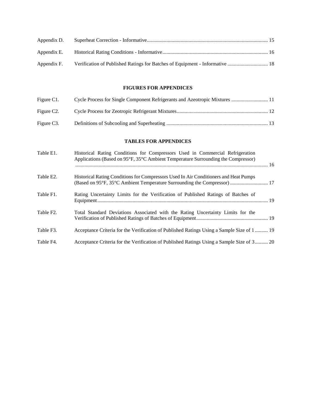| Appendix D. |  |
|-------------|--|
| Appendix E. |  |
| Appendix F. |  |

### **FIGURES FOR APPENDICES**

| Figure C1.              | Cycle Process for Single Component Refrigerants and Azeotropic Mixtures  11 |  |
|-------------------------|-----------------------------------------------------------------------------|--|
| Figure C <sub>2</sub> . |                                                                             |  |
| Figure C <sub>3</sub> . |                                                                             |  |

### **TABLES FOR APPENDICES**

| Table E1.              | Historical Rating Conditions for Compressors Used in Commercial Refrigeration<br>Applications (Based on 95°F, 35°C Ambient Temperature Surrounding the Compressor) |  |
|------------------------|--------------------------------------------------------------------------------------------------------------------------------------------------------------------|--|
| Table E2.              | Historical Rating Conditions for Compressors Used In Air Conditioners and Heat Pumps<br>(Based on 95°F, 35°C Ambient Temperature Surrounding the Compressor)  17   |  |
| Table F1.              | Rating Uncertainty Limits for the Verification of Published Ratings of Batches of                                                                                  |  |
| Table F <sub>2</sub> . | Total Standard Deviations Associated with the Rating Uncertainty Limits for the                                                                                    |  |
| Table F3.              | Acceptance Criteria for the Verification of Published Ratings Using a Sample Size of 1  19                                                                         |  |
| Table F4.              | Acceptance Criteria for the Verification of Published Ratings Using a Sample Size of 3 20                                                                          |  |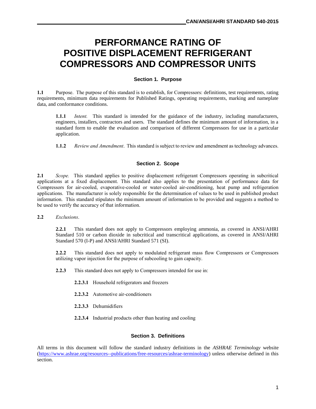# **PERFORMANCE RATING OF POSITIVE DISPLACEMENT REFRIGERANT COMPRESSORS AND COMPRESSOR UNITS**

### **Section 1. Purpose**

**1.1** Purpose. The purpose of this standard is to establish, for Compressors: definitions, test requirements, rating requirements, minimum data requirements for Published Ratings, operating requirements, marking and nameplate data, and conformance conditions.

**1.1.1** *Intent.* This standard is intended for the guidance of the industry, including manufacturers, engineers, installers, contractors and users. The standard defines the minimum amount of information, in a standard form to enable the evaluation and comparison of different Compressors for use in a particular application.

**1.1.2** *Review and Amendment*. This standard is subject to review and amendment as technology advances.

### **Section 2. Scope**

**2.1** *Scope.* This standard applies to positive displacement refrigerant Compressors operating in subcritical applications at a fixed displacement. This standard also applies to the presentation of performance data for Compressors for air-cooled, evaporative-cooled or water-cooled air-conditioning, heat pump and refrigeration applications. The manufacturer is solely responsible for the determination of values to be used in published product information. This standard stipulates the minimum amount of information to be provided and suggests a method to be used to verify the accuracy of that information.

**2.2** *Exclusions*.

**2.2.1** This standard does not apply to Compressors employing ammonia, as covered in ANSI/AHRI Standard 510 or carbon dioxide in subcritical and transcritical applications, as covered in ANSI/AHRI Standard 570 (I-P) and ANSI/AHRI Standard 571 (SI).

**2.2.2** This standard does not apply to modulated refrigerant mass flow Compressors or Compressors utilizing vapor injection for the purpose of subcooling to gain capacity.

- **2.2.3** This standard does not apply to Compressors intended for use in:
	- **2.2.3.1** Household refrigerators and freezers
	- **2.2.3.2** Automotive air-conditioners
	- **2.2.3.3** Dehumidifiers
	- **2.2.3.4** Industrial products other than heating and cooling

#### **Section 3. Definitions**

All terms in this document will follow the standard industry definitions in the *ASHRAE Terminology* website [\(https://www.ashrae.org/resources--publications/free-resources/ashrae-terminology\)](https://www.ashrae.org/resources--publications/free-resources/ashrae-terminology) unless otherwise defined in this section.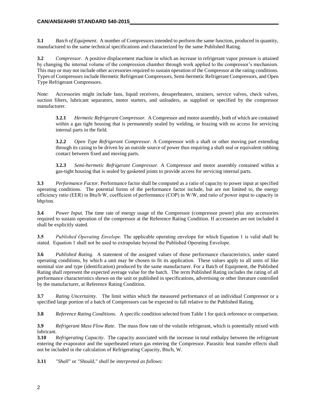**3.1** *Batch of Equipment*. A number of Compressors intended to perform the same function, produced in quantity, manufactured to the same technical specifications and characterized by the same Published Rating.

**3.2** *Compressor.* A positive displacement machine in which an increase in refrigerant vapor pressure is attained by changing the internal volume of the compression chamber through work applied to the compressor's mechanism. This may or may not include other accessories required to sustain operation of the Compressor at the rating conditions. Types of Compressors include Hermetic Refrigerant Compressors, Semi-hermetic Refrigerant Compressors, and Open Type Refrigerant Compressors.

Note: Accessories might include fans, liquid receivers, desuperheaters, strainers, service valves, check valves, suction filters, lubricant separators, motor starters, and unloaders, as supplied or specified by the compressor manufacturer.

**3.2.1** *Hermetic Refrigerant Compressor.* A Compressor and motor assembly, both of which are contained within a gas tight housing that is permanently sealed by welding, or brazing with no access for servicing internal parts in the field.

**3.2.2** *Open Type Refrigerant Compressor.* A Compressor with a shaft or other moving part extending through its casing to be driven by an outside source of power thus requiring a shaft seal or equivalent rubbing contact between fixed and moving parts.

**3.2.3** *Semi-hermetic Refrigerant Compressor.* A Compressor and motor assembly contained within a gas-tight housing that is sealed by gasketed joints to provide access for servicing internal parts.

**3.3** *Performance Factor.* Performance factor shall be computed as a ratio of capacity to power input at specified operating conditions. The potential forms of the performance factor include, but are not limited to, the energy efficiency ratio (EER) in Btu/h∙W, coefficient of performance (COP) in W/W, and ratio of power input to capacity in bhp/ton.

**3.4** *Power Input.* The time rate of energy usage of the Compressor (compressor power) plus any accessories required to sustain operation of the compressor at the Reference Rating Condition. If accessories are not included it shall be explicitly stated.

**3.5** *Published Operating Envelope.* The applicable operating envelope for which Equation 1 is valid shall be stated. Equation 1 shall not be used to extrapolate beyond the Published Operating Envelope.

**3.6** *Published Rating.* A statement of the assigned values of those performance characteristics, under stated operating conditions, by which a unit may be chosen to fit its application. These values apply to all units of like nominal size and type (identification) produced by the same manufacturer. For a Batch of Equipment, the Published Rating shall represent the expected average value for the batch. The term Published Rating includes the rating of all performance characteristics shown on the unit or published in specifications, advertising or other literature controlled by the manufacturer, at Reference Rating Condition.

**3.7** *Rating Uncertainty*. The limit within which the measured performance of an individual Compressor or a specified large portion of a batch of Compressors can be expected to fall relative to the Published Rating.

**3.8** *Reference Rating Conditions.* A specific condition selected from Table 1 for quick reference or comparison.

**3.9** *Refrigerant Mass Flow Rate*. The mass flow rate of the volatile refrigerant, which is potentially mixed with lubricant.

**3.10** *Refrigerating Capacity*. The capacity associated with the increase in total enthalpy between the refrigerant entering the evaporator and the superheated return gas entering the Compressor. Parasitic heat transfer effects shall not be included in the calculation of Refrigerating Capacity, Btu/h, W.

**3.11** *"Shall"* or *"Should," shall be interpreted as follows:*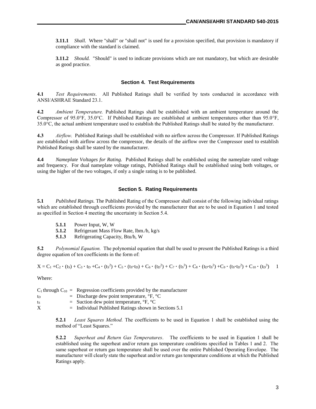**3.11.1** *Shall.* Where "shall" or "shall not" is used for a provision specified, that provision is mandatory if compliance with the standard is claimed.

**3.11.2** *Should.* "Should" is used to indicate provisions which are not mandatory, but which are desirable as good practice.

#### **Section 4. Test Requirements**

**4.1** *Test Requirements*. All Published Ratings shall be verified by tests conducted in accordance with ANSI/ASHRAE Standard 23.1.

**4.2** *Ambient Temperature.* Published Ratings shall be established with an ambient temperature around the Compressor of 95.0°F, 35.0°C. If Published Ratings are established at ambient temperatures other than 95.0°F, 35.0°C, the actual ambient temperature used to establish the Published Ratings shall be stated by the manufacturer.

**4.3** *Airflow.* Published Ratings shall be established with no airflow across the Compressor. If Published Ratings are established with airflow across the compressor, the details of the airflow over the Compressor used to establish Published Ratings shall be stated by the manufacturer.

**4.4** *Nameplate Voltages for Rating.* Published Ratings shall be established using the nameplate rated voltage and frequency. For dual nameplate voltage ratings, Published Ratings shall be established using both voltages, or using the higher of the two voltages, if only a single rating is to be published.

#### **Section 5. Rating Requirements**

**5.1** *Published Ratings.* The Published Rating of the Compressor shall consist of the following individual ratings which are established through coefficients provided by the manufacturer that are to be used in Equation 1 and tested as specified in Section 4 meeting the uncertainty in Section 5.4.

- **5.1.1** Power Input, W, W
- **5.1.2** Refrigerant Mass Flow Rate, lbm./h, kg/s
- **5.1.3** Refrigerating Capacity, Btu/h, W

**5.2** *Polynomial Equation.* The polynomial equation that shall be used to present the Published Ratings is a third degree equation of ten coefficients in the form of:

$$
X = C_1 + C_2 \cdot (t_S) + C_3 \cdot t_D + C_4 \cdot (t_S^2) + C_5 \cdot (t_S \cdot t_D) + C_6 \cdot (t_D^2) + C_7 \cdot (t_S^3) + C_8 \cdot (t_D \cdot t_S^2) + C_9 \cdot (t_S \cdot t_D^2) + C_{10} \cdot (t_D^3)
$$

Where:

|                | $C_1$ through $C_{10}$ = Regression coefficients provided by the manufacturer |
|----------------|-------------------------------------------------------------------------------|
| t <sub>D</sub> | $\equiv$ Discharge dew point temperature, $\mathrm{P}F$ , $\mathrm{C}C$       |
| ts             | $=$ Suction dew point temperature, $\mathrm{P}F$ , $\mathrm{C}C$              |
| X              | $=$ Individual Published Ratings shown in Sections 5.1                        |

**5.2.1** *Least Squares Method.* The coefficients to be used in Equation 1 shall be established using the method of "Least Squares."

**5.2.2** *Superheat and Return Gas Temperatures*. The coefficients to be used in Equation 1 shall be established using the superheat and/or return gas temperature conditions specified in Tables 1 and 2. The same superheat or return gas temperature shall be used over the entire Published Operating Envelope. The manufacturer will clearly state the superheat and/or return gas temperature conditions at which the Published Ratings apply.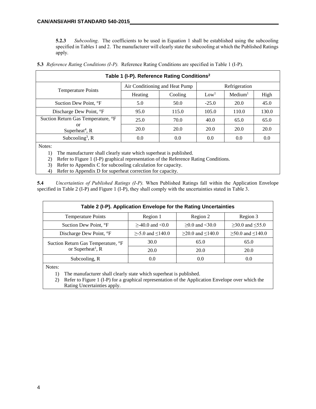**5.2.3** *Subcooling*. The coefficients to be used in Equation 1 shall be established using the subcooling specified in Tables 1 and 2. The manufacturer will clearly state the subcooling at which the Published Ratings apply.

**5.3** *Reference Rating Conditions (I-P).* Reference Rating Conditions are specified in Table 1 (I-P).

| Table 1 (I-P). Reference Rating Conditions <sup>2</sup> |                                |         |                  |                        |       |  |  |
|---------------------------------------------------------|--------------------------------|---------|------------------|------------------------|-------|--|--|
|                                                         | Air Conditioning and Heat Pump |         | Refrigeration    |                        |       |  |  |
| <b>Temperature Points</b>                               | Heating                        | Cooling | Low <sup>1</sup> | $M$ edium <sup>1</sup> | High  |  |  |
| Suction Dew Point, °F                                   | 5.0                            | 50.0    | $-25.0$          | 20.0                   | 45.0  |  |  |
| Discharge Dew Point, <sup>o</sup> F                     | 95.0                           | 115.0   | 105.0            | 110.0                  | 130.0 |  |  |
| Suction Return Gas Temperature, °F                      | 25.0                           | 70.0    | 40.0             | 65.0                   | 65.0  |  |  |
| or<br>Superheat <sup>4</sup> , $R$                      | 20.0                           | 20.0    | 20.0             | 20.0                   | 20.0  |  |  |
| Subcooling <sup>3</sup> , $R$                           | 0.0                            | 0.0     | 0.0              | 0.0                    | 0.0   |  |  |
| $\mathbf{X}$                                            |                                |         |                  |                        |       |  |  |

Notes:

- 1) The manufacturer shall clearly state which superheat is published.
- 2) Refer to Figure 1 (I-P) graphical representation of the Reference Rating Conditions.
- 3) Refer to Appendix C for subcooling calculation for capacity.
- 4) Refer to Appendix D for superheat correction for capacity.

**5.4** *Uncertainties of Published Ratings (I-P).* When Published Ratings fall within the Application Envelope specified in Table 2 (I-P) and Figure 1 (I-P), they shall comply with the uncertainties stated in Table 3.

| Table 2 (I-P). Application Envelope for the Rating Uncertainties |                              |                              |                              |  |  |  |
|------------------------------------------------------------------|------------------------------|------------------------------|------------------------------|--|--|--|
| <b>Temperature Points</b><br>Region 1<br>Region 2<br>Region 3    |                              |                              |                              |  |  |  |
| Suction Dew Point, °F                                            | $>40.0$ and $< 0.0$          | $\geq 0.0$ and <30.0         | $≥30.0$ and ≤55.0            |  |  |  |
| Discharge Dew Point, °F                                          | $\geq$ -5.0 and $\leq$ 140.0 | $\geq$ 20.0 and $\leq$ 140.0 | $\geq 50.0$ and $\leq 140.0$ |  |  |  |
| Suction Return Gas Temperature, °F                               | 30.0                         | 65.0                         | 65.0                         |  |  |  |
| or Superheat <sup>1</sup> , R                                    | 20.0                         | <b>20.0</b>                  | 20.0                         |  |  |  |
| Subcooling, R                                                    | 0.0                          | 0.0                          | 0.0                          |  |  |  |

Notes:

- 1) The manufacturer shall clearly state which superheat is published.
- 2) Refer to Figure 1 (I-P) for a graphical representation of the Application Envelope over which the Rating Uncertainties apply.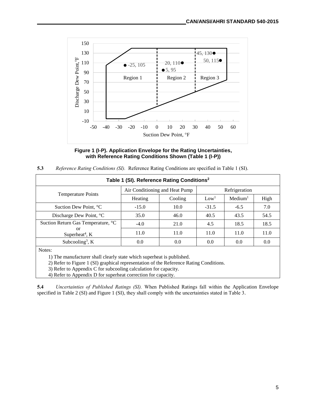

**Figure 1 (I-P). Application Envelope for the Rating Uncertainties, with Reference Rating Conditions Shown (Table 1 (I-P))**

| Table 1 (SI). Reference Rating Conditions <sup>2</sup> |                                |         |                  |                        |      |  |  |
|--------------------------------------------------------|--------------------------------|---------|------------------|------------------------|------|--|--|
|                                                        | Air Conditioning and Heat Pump |         | Refrigeration    |                        |      |  |  |
| <b>Temperature Points</b>                              | Heating                        | Cooling | Low <sup>1</sup> | $M$ edium <sup>1</sup> | High |  |  |
| Suction Dew Point, °C                                  | $-15.0$                        | 10.0    | $-31.5$          | $-6.5$                 | 7.0  |  |  |
| Discharge Dew Point, °C                                | 35.0                           | 46.0    | 40.5             | 43.5                   | 54.5 |  |  |
| Suction Return Gas Temperature, °C                     | $-4.0$                         | 21.0    | 4.5              | 18.5                   | 18.5 |  |  |
| or<br>Superheat <sup>4</sup> , $K$                     | 11.0                           | 11.0    | 11.0             | 11.0                   | 11.0 |  |  |
| Subcooling <sup>3</sup> , $K$                          | 0.0                            | 0.0     | 0.0              | 0.0                    | 0.0  |  |  |

| 5.3 |  |  | Reference Rating Conditions (SI). Reference Rating Conditions are specified in Table 1 (SI). |  |  |
|-----|--|--|----------------------------------------------------------------------------------------------|--|--|
|-----|--|--|----------------------------------------------------------------------------------------------|--|--|

Notes:

1) The manufacturer shall clearly state which superheat is published.

2) Refer to Figure 1 (SI) graphical representation of the Reference Rating Conditions.

3) Refer to Appendix C for subcooling calculation for capacity.

4) Refer to Appendix D for superheat correction for capacity.

**5.4** *Uncertainties of Published Ratings (SI).* When Published Ratings fall within the Application Envelope specified in Table 2 (SI) and Figure 1 (SI), they shall comply with the uncertainties stated in Table 3.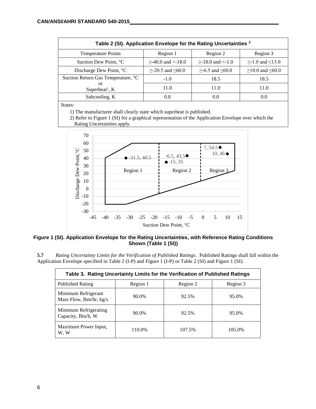| Table 2 (SI). Application Envelope for the Rating Uncertainties <sup>2</sup> |                           |                          |                    |  |  |  |
|------------------------------------------------------------------------------|---------------------------|--------------------------|--------------------|--|--|--|
| <b>Temperature Points</b>                                                    | Region 1                  | Region 2                 | Region 3           |  |  |  |
| Suction Dew Point, °C                                                        | $>$ -40.0 and $<$ -18.0   | $>18.0$ and $<1.0$       | $>1.0$ and $<13.0$ |  |  |  |
| Discharge Dew Point, °C                                                      | $>$ -20.5 and $\leq 60.0$ | $>$ -6.5 and $\leq 60.0$ | $≥10.0$ and ≤60.0  |  |  |  |
| Suction Return Gas Temperature, °C                                           | $-1.0$                    | 18.5                     | 18.5               |  |  |  |
| or<br>Superheat <sup>1</sup> , $K$                                           | 11.0                      | 11.0                     | 11.0               |  |  |  |
| Subcooling, K                                                                | 0.0                       | 0.0                      | (0.0)              |  |  |  |

Notes:

1) The manufacturer shall clearly state which superheat is published.

 2) Refer to Figure 1 (SI) for a graphical representation of the Application Envelope over which the Rating Uncertainties apply.



**Figure 1 (SI). Application Envelope for the Rating Uncertainties, with Reference Rating Conditions Shown (Table 1 (SI))**

**5.7** *Rating Uncertainty Limits for the Verification of Published Ratings*. Published Ratings shall fall within the Application Envelope specified in Table 2 (I-P) and Figure 1 (I-P) or Table 2 (SI) and Figure 1 (SI).

| Table 3. Rating Uncertainty Limits for the Verification of Published Ratings |          |          |          |  |  |  |  |
|------------------------------------------------------------------------------|----------|----------|----------|--|--|--|--|
| <b>Published Rating</b>                                                      | Region 1 | Region 2 | Region 3 |  |  |  |  |
| Minimum Refrigerant<br>Mass Flow, lbm/hr, kg/s                               | 90.0%    | 92.5%    | 95.0%    |  |  |  |  |
| Minimum Refrigerating<br>Capacity, Btu/h, W                                  | 90.0%    | 92.5%    | 95.0%    |  |  |  |  |
| Maximum Power Input,<br>W. W                                                 | 110.0%   | 107.5%   | 105.0%   |  |  |  |  |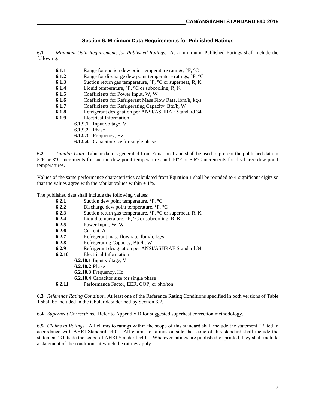#### **Section 6. Minimum Data Requirements for Published Ratings**

**6.1** *Minimum Data Requirements for Published Ratings.* As a minimum, Published Ratings shall include the following:

- **6.1.1** Range for suction dew point temperature ratings,  ${}^{\circ}F$ ,  ${}^{\circ}C$
- **6.1.2** Range for discharge dew point temperature ratings, °F, °C<br>**6.1.3** Suction return gas temperature, °F, °C or superheat, R, K
- **6.1.3** Suction return gas temperature,  ${}^{\circ}F$ ,  ${}^{\circ}C$  or superheat, R, K<br>**6.1.4** Liquid temperature,  ${}^{\circ}F$ ,  ${}^{\circ}C$  or subcooling, R, K
- Liquid temperature,  ${}^{\circ}F$ ,  ${}^{\circ}C$  or subcooling, R, K
- **6.1.5** Coefficients for Power Input, W, W
- **6.1.6** Coefficients for Refrigerant Mass Flow Rate, lbm/h, kg/s
- **6.1.7** Coefficients for Refrigerating Capacity, Btu/h, W
- **6.1.8** Refrigerant designation per ANSI/ASHRAE Standard 34
- **6.1.9** Electrical Information
	- **6.1.9.1** Input voltage, V
		- **6.1.9.2** Phase
		- **6.1.9.3** Frequency, Hz
		- **6.1.9.4** Capacitor size for single phase

**6.2** *Tabular Data.* Tabular data is generated from Equation 1 and shall be used to present the published data in 5°F or 3°C increments for suction dew point temperatures and 10°F or 5.6°C increments for discharge dew point temperatures.

Values of the same performance characteristics calculated from Equation 1 shall be rounded to 4 significant digits so that the values agree with the tabular values within  $\pm$  1%.

The published data shall include the following values:

| 6.2.1  | Suction dew point temperature, ${}^{\circ}F$ , ${}^{\circ}C$                     |
|--------|----------------------------------------------------------------------------------|
| 6.2.2  | Discharge dew point temperature, °F, °C                                          |
| 6.2.3  | Suction return gas temperature, ${}^{\circ}F$ , ${}^{\circ}C$ or superheat, R, K |
| 6.2.4  | Liquid temperature, ${}^{\circ}F$ , ${}^{\circ}C$ or subcooling, R, K            |
| 6.2.5  | Power Input, W, W                                                                |
| 6.2.6  | Current, A                                                                       |
| 6.2.7  | Refrigerant mass flow rate, lbm/h, kg/s                                          |
| 6.2.8  | Refrigerating Capacity, Btu/h, W                                                 |
| 6.2.9  | Refrigerant designation per ANSI/ASHRAE Standard 34                              |
| 6.2.10 | Electrical Information                                                           |
|        | <b>6.2.10.1</b> Input voltage, V                                                 |
|        | <b>6.2.10.2 Phase</b>                                                            |
|        | $6.2.10.3$ Frequency, Hz                                                         |
|        | <b>6.2.10.4</b> Capacitor size for single phase                                  |
| 6.2.11 | Performance Factor, EER, COP, or bhp/ton                                         |

**6.3** *Reference Rating Condition.* At least one of the Reference Rating Conditions specified in both versions of Table 1 shall be included in the tabular data defined by Section 6.2.

**6.4** *Superheat Corrections.*Refer to Appendix D for suggested superheat correction methodology.

**6.5** *Claims to Ratings.* All claims to ratings within the scope of this standard shall include the statement "Rated in accordance with AHRI Standard 540". All claims to ratings outside the scope of this standard shall include the statement "Outside the scope of AHRI Standard 540". Wherever ratings are published or printed, they shall include a statement of the conditions at which the ratings apply.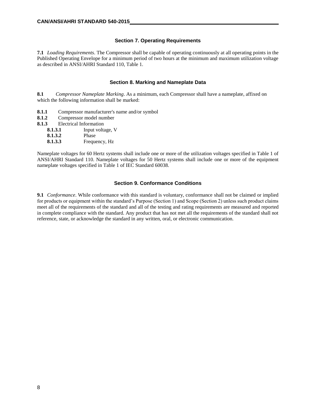#### **Section 7. Operating Requirements**

**7.1** *Loading Requirements*. The Compressor shall be capable of operating continuously at all operating points in the Published Operating Envelope for a minimum period of two hours at the minimum and maximum utilization voltage as described in ANSI/AHRI Standard 110, Table 1.

#### **Section 8. Marking and Nameplate Data**

**8.1** *Compressor Nameplate Marking*. As a minimum, each Compressor shall have a nameplate, affixed on which the following information shall be marked:

- **8.1.1** Compressor manufacturer's name and/or symbol
- **8.1.2** Compressor model number
- **8.1.3** Electrical Information
	- **8.1.3.1** Input voltage, V
	- **8.1.3.2** Phase
	- **8.1.3.3** Frequency, Hz

Nameplate voltages for 60 Hertz systems shall include one or more of the utilization voltages specified in Table 1 of ANSI/AHRI Standard 110. Nameplate voltages for 50 Hertz systems shall include one or more of the equipment nameplate voltages specified in Table 1 of IEC Standard 60038.

#### **Section 9. Conformance Conditions**

**9.1** *Conformance*. While conformance with this standard is voluntary, conformance shall not be claimed or implied for products or equipment within the standard's Purpose (Section 1) and Scope (Section 2) unless such product claims meet all of the requirements of the standard and all of the testing and rating requirements are measured and reported in complete compliance with the standard. Any product that has not met all the requirements of the standard shall not reference, state, or acknowledge the standard in any written, oral, or electronic communication.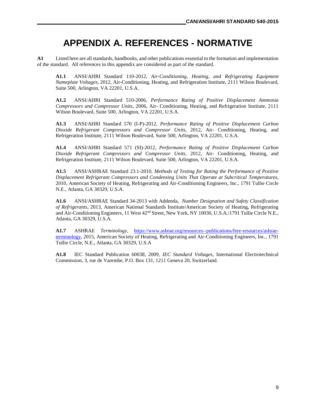# **APPENDIX A. REFERENCES - NORMATIVE**

**A1** Listed here are all standards, handbooks, and other publications essential to the formation and implementation of the standard. All references in this appendix are considered as part of the standard.

**A1.1** ANSI/AHRI Standard 110-2012, *Air-Conditioning, Heating, and Refrigerating Equipment Nameplate Voltages,* 2012, Air-Conditioning, Heating, and Refrigeration Institute, 2111 Wilson Boulevard, Suite 500, Arlington, VA 22201, U.S.A.

**A1.2** ANSI/AHRI Standard 510-2006, *Performance Rating of Positive Displacement Ammonia Compressors and Compressor Units*, 2006, Air- Conditioning, Heating, and Refrigeration Institute, 2111 Wilson Boulevard, Suite 500, Arlington, VA 22201, U.S.A.

**A1.3** ANSI/AHRI Standard 570 (I-P)-2012, *Performance Rating of Positive Displacement Carbon Dioxide Refrigerant Compressors and Compressor Units*, 2012, Air- Conditioning, Heating, and Refrigeration Institute, 2111 Wilson Boulevard, Suite 500, Arlington, VA 22201, U.S.A.

**A1.4** ANSI/AHRI Standard 571 (SI)-2012, *Performance Rating of Positive Displacement Carbon Dioxide Refrigerant Compressors and Compressor Units*, 2012, Air- Conditioning, Heating, and Refrigeration Institute, 2111 Wilson Boulevard, Suite 500, Arlington, VA 22201, U.S.A.

**A1.5** ANSI/ASHRAE Standard 23.1-2010, *Methods of Testing for Rating the Performance of Positive Displacement Refrigerant Compressors and Condensing Units That Operate at Subcritical Temperatures*, 2010, American Society of Heating, Refrigerating and Air-Conditioning Engineers, Inc., 1791 Tullie Circle N.E., Atlanta, GA 30329, U.S.A.

**A1.6** ANSI/ASHRAE Standard 34-2013 with Addenda, *Number Designation and Safety Classification of Refrigerants,* 2013, American National Standards Institute/American Society of Heating, Refrigerating and Air-Conditioning Engineers, 11 West 42<sup>nd</sup> Street, New York, NY 10036, U.S.A./1791 Tullie Circle N.E., Atlanta, GA 30329, U.S.A.

**A1.7** ASHRAE *Terminology,* [https://www.ashrae.org/resources--publications/free-resources/ashrae](https://www.ashrae.org/resources--publications/free-resources/ashrae-terminology)[terminology,](https://www.ashrae.org/resources--publications/free-resources/ashrae-terminology) 2015, American Society of Heating, Refrigerating and Air-Conditioning Engineers, Inc., 1791 Tullie Circle, N.E., Atlanta, GA 30329, U.S.A

**A1.8** IEC Standard Publication 60038, 2009, *IEC Standard Voltages,* International Electrotechnical Commission, 3, rue de Varembe, P.O. Box 131, 1211 Geneva 20, Switzerland.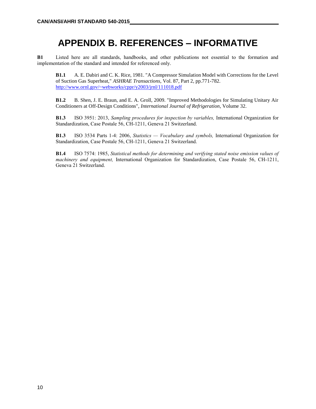# **APPENDIX B. REFERENCES – INFORMATIVE**

**B1** Listed here are all standards, handbooks, and other publications not essential to the formation and implementation of the standard and intended for referenced only.

**B1.1** A. E. Dabiri and C. K. Rice, 1981. "A Compressor Simulation Model with Corrections for the Level of Suction Gas Superheat," *ASHRAE Transactions*, Vol. 87, Part 2, pp.771-782. <http://www.ornl.gov/~webworks/cppr/y2003/jrnl/111018.pdf>

**B1.2** B. Shen, J. E. Braun, and E. A. Groll, 2009. "Improved Methodologies for Simulating Unitary Air Conditioners at Off-Design Conditions", *International Journal of Refrigeration*, Volume 32.

**B1.3** ISO 3951: 2013, *Sampling procedures for inspection by variables,* International Organization for Standardization, Case Postale 56, CH-1211, Geneva 21 Switzerland.

**B1.3** ISO 3534 Parts 1-4: 2006, *Statistics — Vocabulary and symbols,* International Organization for Standardization, Case Postale 56, CH-1211, Geneva 21 Switzerland.

**B1.4** ISO 7574: 1985, *Statistical methods for determining and verifying stated noise emission values of machinery and equipment,* International Organization for Standardization, Case Postale 56, CH-1211, Geneva 21 Switzerland.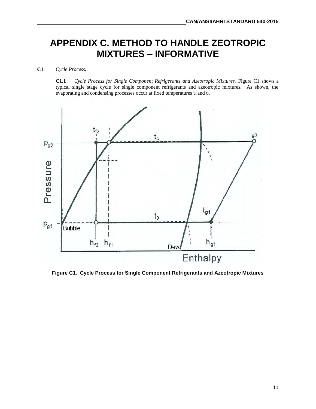# **APPENDIX C. METHOD TO HANDLE ZEOTROPIC MIXTURES – INFORMATIVE**

### **C1** *Cycle Process.*

**C1.1** *Cycle Process for Single Component Refrigerants and Azeotropic Mixtures.* Figure C1 shows a typical single stage cycle for single component refrigerants and azeotropic mixtures. As shown, the evaporating and condensing processes occur at fixed temperatures t<sub>o</sub> and t<sub>c</sub>.



**Figure C1. Cycle Process for Single Component Refrigerants and Azeotropic Mixtures**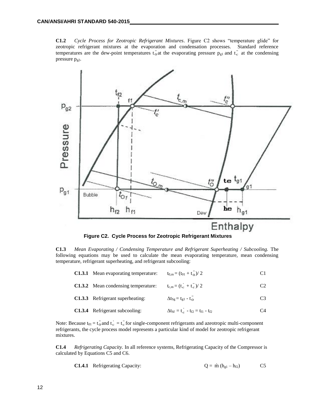**C1.2** *Cycle Process for Zeotropic Refrigerant Mixtures*. Figure C2 shows "temperature glide" for zeotropic refrigerant mixtures at the evaporation and condensation processes. Standard reference temperatures are the dew-point temperatures  $t_0$  at the evaporating pressure  $p_{g1}$  and  $t_c$  at the condensing pressure  $p_{g2}$ .



**Figure C2. Cycle Process for Zeotropic Refrigerant Mixtures**

**C1.3** *Mean Evaporating / Condensing Temperature and Refrigerant Superheating / Subcooling.* The following equations may be used to calculate the mean evaporating temperature, mean condensing temperature, refrigerant superheating, and refrigerant subcooling:

|  | <b>C1.3.1</b> Mean evaporating temperature: $t_{0,m} = (t_{01} + t_0)/2$ |  |  |
|--|--------------------------------------------------------------------------|--|--|
|--|--------------------------------------------------------------------------|--|--|

- **C1.3.2** Mean condensing temperature:  $c + t_c$ )/ 2 C2
- **C1.3.3** Refrigerant superheating: "o C3

C1.3.4 Refrigerant subcooling: 
$$
\Delta t_{\text{sf}} = t_{\text{c}} - t_{\text{f2}} = t_{\text{f1}} - t_{\text{f2}}
$$
 C4

Note: Because t<sub>01</sub> = t<sub>0</sub> and t<sub>c</sub> = t<sub>c</sub> for single-component refrigerants and azeotropic multi-component refrigerants, the cycle process model represents a particular kind of model for zeotropic refrigerant mixtures.

**C1.4** *Refrigerating Capacity.* In all reference systems, Refrigerating Capacity of the Compressor is calculated by Equations C5 and C6.

C1.4.1 Refirigerating Capacity: 
$$
Q = \dot{m} (h_{gl} - h_{f2})
$$
 C5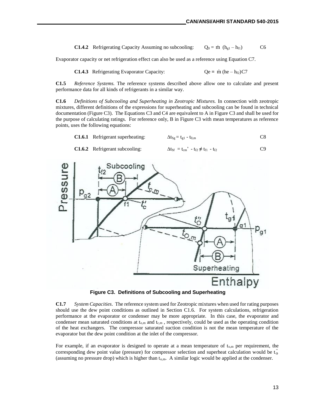**C1.4.2** Refrigerating Capacity Assuming no subcooling:  $\dot{n}$  (h<sub>g1</sub> – h<sub>f1</sub>) C6

Evaporator capacity or net refrigeration effect can also be used as a reference using Equation C7.

**C1.4.3** Refrigerating Evaporator Capacity:  $\text{in}$  (he – h<sub>f2</sub>)C7

**C1.5** *Reference Systems.* The reference systems described above allow one to calculate and present performance data for all kinds of refrigerants in a similar way.

**C1.6** *Definitions of Subcooling and Superheating in Zeotropic Mixtures.* In connection with zeotropic mixtures, different definitions of the expressions for superheating and subcooling can be found in technical documentation (Figure C3). The Equations C3 and C4 are equivalent to A in Figure C3 and shall be used for the purpose of calculating ratings. For reference only, B in Figure C3 with mean temperatures as reference points, uses the following equations:

|  | C1.6.1 Refrigerant superheating: | $\Delta t_{\text{Sg}} = t_{\text{g1}} - t_{0,\text{m}}$ | C8 |
|--|----------------------------------|---------------------------------------------------------|----|
|--|----------------------------------|---------------------------------------------------------|----|

C1.6.2 Refirigerant subcooling: 
$$
\Delta t_{\text{sf}} = t_{\text{cm}}' - t_{\text{f2}} \neq t_{\text{f1}} - t_{\text{f2}}
$$



**Figure C3. Definitions of Subcooling and Superheating**

**C1.7** *System Capacities*.The reference system used for Zeotropic mixtures when used for rating purposes should use the dew point conditions as outlined in Section C1.6. For system calculations, refrigeration performance at the evaporator or condenser may be more appropriate. In this case, the evaporator and condenser mean saturated conditions at  $t_{o,m}$  and  $t_{c,m}$ , respectively, could be used as the operating condition of the heat exchangers. The compressor saturated suction condition is not the mean temperature of the evaporator but the dew point condition at the inlet of the compressor.

For example, if an evaporator is designed to operate at a mean temperature of  $t_{o,m}$  per requirement, the corresponding dew point value (pressure) for compressor selection and superheat calculation would be  $t_0$ (assuming no pressure drop) which is higher than  $t_{o,m}$ . A similar logic would be applied at the condenser.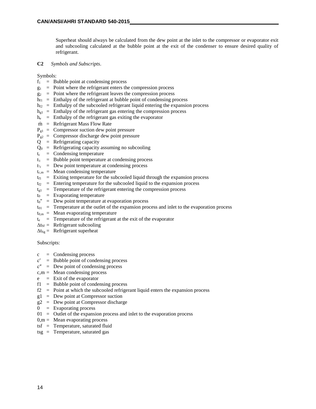Superheat should always be calculated from the dew point at the inlet to the compressor or evaporator exit and subcooling calculated at the bubble point at the exit of the condenser to ensure desired quality of refrigerant.

**C2** *Symbols and Subscripts*.

Symbols:

- $f_1$  = Bubble point at condensing process
- $g_1$  = Point where the refrigerant enters the compression process
- $g_2$  = Point where the refrigerant leaves the compression process
- $h_{f1}$  = Enthalpy of the refrigerant at bubble point of condensing process
- $h_{f2}$  = Enthalpy of the subcooled refrigerant liquid entering the expansion process
- $h_{g1}$  = Enthalpy of the refrigerant gas entering the compression process
- $h_e$  = Enthalpy of the refrigerant gas exiting the evaporator
- m = Refrigerant Mass Flow Rate
- $P_{g1}$  = Compressor suction dew point pressure
- $P_{g2}$  = Compressor discharge dew point pressure
- $Q =$  Refrigerating capacity
- $Q_0$  = Refrigerating capacity assuming no subcooling
- $t_c$  = Condensing temperature
- $t_c$  = Bubble point temperature at condensing process
- $t_{\text{c}}$  = Dew point temperature at condensing process
- $t_{c.m}$  = Mean condensing temperature
- $t_{\text{fl}}$  = Exiting temperature for the subcooled liquid through the expansion process
- $t_{f2}$  = Entering temperature for the subcooled liquid to the expansion process
- $t_{g1}$  = Temperature of the refrigerant entering the compression process
- $t_0$  = Evaporating temperature
- $t_0$ " = Dew point temperature at evaporation process
- $t_{01}$  = Temperature at the outlet of the expansion process and inlet to the evaporation process
- $t_{0,m}$  = Mean evaporating temperature
- $t_e$  = Temperature of the refrigerant at the exit of the evaporator
- $\Delta t_{\rm Sf}$  = Refrigerant subcooling
- $\Delta t_{Sg}$  = Refrigerant superheat

Subscripts:

- $c =$  Condensing process
- $c'$  = Bubble point of condensing process
- $c'' =$  Dew point of condensing process
- $c,m =$ Mean condensing process
- $e$  = Exit of the evaporator
- $f1 =$  Bubble point of condensing process
- $f2 =$  Point at which the subcooled refrigerant liquid enters the expansion process
- $g1 = Dew point at Compressor such$
- $g2 = Dew point at Compression discharge$
- $0 =$  Evaporating process
- $01 =$  Outlet of the expansion process and inlet to the evaporation process
- $0,m =$ Mean evaporating process
- tsf = Temperature, saturated fluid
- tsg = Temperature, saturated gas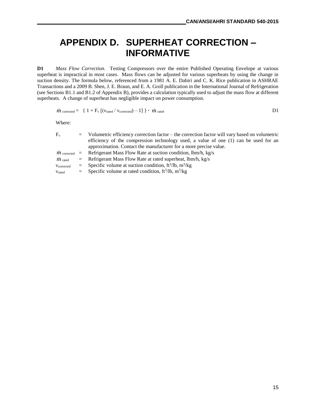# **APPENDIX D. SUPERHEAT CORRECTION – INFORMATIVE**

**D1** *Mass Flow Correction*. Testing Compressors over the entire Published Operating Envelope at various superheat is impractical in most cases. Mass flows can be adjusted for various superheats by using the change in suction density. The formula below, referenced from a 1981 A. E. Dabiri and C. K. Rice publication in ASHRAE Transactions and a 2009 B. Shen, J. E. Braun, and E. A. Groll publication in the International Journal of Refrigeration (see Sections B1.1 and B1.2 of Appendix B), provides a calculation typically used to adjust the mass flow at different superheats. A change of superheat has negligible impact on power consumption.

 $\dot{m}$  corrected = { 1 + F<sub>v</sub> [( $v$ <sub>rated</sub> /  $v$ <sub>corrected</sub>) – 1] } •  $\dot{m}$  $l$  rated  $D1$ 

Where:

| $F_v$           | = Volumetric efficiency correction factor – the correction factor will vary based on volumetric |
|-----------------|-------------------------------------------------------------------------------------------------|
|                 | efficiency of the compression technology used, a value of one $(1)$ can be used for an          |
|                 | approximation. Contact the manufacturer for a more precise value.                               |
|                 | $\dot{m}$ corrected = Refrigerant Mass Flow Rate at suction condition, lbm/h, kg/s              |
| $\dot{m}$ rated | $=$ Refrigerant Mass Flow Rate at rated superheat, lbm/h, kg/s                                  |
| Vcorrected      | = Specific volume at suction condition, $ft^3/lb$ , $m^3/kg$                                    |
| Vrated          | $=$ Specific volume at rated condition, ft <sup>3</sup> /lb, m <sup>3</sup> /kg                 |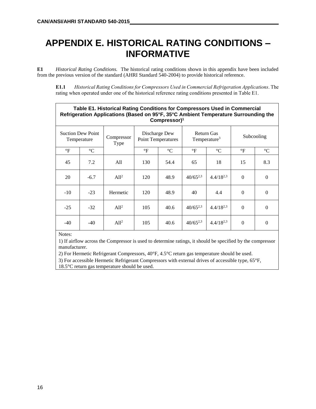# **APPENDIX E. HISTORICAL RATING CONDITIONS – INFORMATIVE**

**E1** *Historical Rating Conditions.* The historical rating conditions shown in this appendix have been included from the previous version of the standard (AHRI Standard 540-2004) to provide historical reference.

**E1.1** *Historical Rating Conditions for Compressors Used in Commercial Refrigeration Applications*. The rating when operated under one of the historical reference rating conditions presented in Table E1.

|              | Table E1. Historical Rating Conditions for Compressors Used in Commercial<br>Refrigeration Applications (Based on 95°F, 35°C Ambient Temperature Surrounding the<br>Compressor) <sup>1</sup> |                    |                      |                                            |                 |                                               |                 |                 |
|--------------|----------------------------------------------------------------------------------------------------------------------------------------------------------------------------------------------|--------------------|----------------------|--------------------------------------------|-----------------|-----------------------------------------------|-----------------|-----------------|
|              | <b>Suction Dew Point</b><br>Temperature                                                                                                                                                      | Compressor<br>Type |                      | Discharge Dew<br><b>Point Temperatures</b> |                 | <b>Return Gas</b><br>Temperature <sup>3</sup> |                 | Subcooling      |
| $\mathrm{P}$ | $\rm ^{\circ}C$                                                                                                                                                                              |                    | $\mathrm{^{\circ}F}$ | $\rm ^{\circ}C$                            | $\rm ^{\circ}F$ | $\rm ^{\circ}C$                               | $\rm ^{\circ}F$ | $\rm ^{\circ}C$ |
| 45           | 7.2                                                                                                                                                                                          | All                | 130                  | 54.4                                       | 65              | 18                                            | 15              | 8.3             |
| 20           | $-6.7$                                                                                                                                                                                       | Al1 <sup>2</sup>   | 120                  | 48.9                                       | $40/65^{2,3}$   | $4.4/18^{2,3}$                                | $\Omega$        | $\Omega$        |
| $-10$        | $-23$                                                                                                                                                                                        | Hermetic           | 120                  | 48.9                                       | 40              | 4.4                                           | $\Omega$        | $\Omega$        |
| $-25$        | $-32$                                                                                                                                                                                        | Al1 <sup>2</sup>   | 105                  | 40.6                                       | $40/65^{2,3}$   | $4.4/18^{2,3}$                                | $\Omega$        | $\Omega$        |
| -40          | $-40$                                                                                                                                                                                        | Al1 <sup>2</sup>   | 105                  | 40.6                                       | $40/65^{2,3}$   | $4.4/18^{2,3}$                                | $\Omega$        | $\Omega$        |

Notes:

1) If airflow across the Compressor is used to determine ratings, it should be specified by the compressor manufacturer.

2) For Hermetic Refrigerant Compressors, 40°F, 4.5°C return gas temperature should be used.

3) For accessible Hermetic Refrigerant Compressors with external drives of accessible type, 65°F, 18.5°C return gas temperature should be used.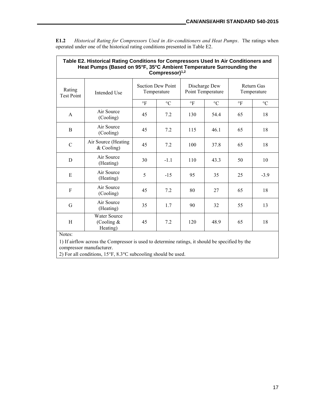٦

|                             | Table E2. Historical Rating Conditions for Compressors Used In Air Conditioners and<br>Heat Pumps (Based on 95°F, 35°C Ambient Temperature Surrounding the<br>Compressor) <sup>1,2</sup> |                                         |                 |                                    |                 |                                  |                 |
|-----------------------------|------------------------------------------------------------------------------------------------------------------------------------------------------------------------------------------|-----------------------------------------|-----------------|------------------------------------|-----------------|----------------------------------|-----------------|
| Rating<br><b>Test Point</b> | Intended Use                                                                                                                                                                             | <b>Suction Dew Point</b><br>Temperature |                 | Discharge Dew<br>Point Temperature |                 | <b>Return Gas</b><br>Temperature |                 |
|                             |                                                                                                                                                                                          | $\circ$ F                               | $\rm ^{\circ}C$ | $\circ$ F                          | $\rm ^{\circ}C$ | $\circ$ F                        | $\rm ^{\circ}C$ |
| A                           | Air Source<br>(Cooling)                                                                                                                                                                  | 45                                      | 7.2             | 130                                | 54.4            | 65                               | 18              |
| B                           | Air Source<br>(Cooling)                                                                                                                                                                  | 45                                      | 7.2             | 115                                | 46.1            | 65                               | 18              |
| $\mathcal{C}$               | Air Source (Heating<br>$&$ Cooling)                                                                                                                                                      | 45                                      | 7.2             | 100                                | 37.8            | 65                               | 18              |
| D                           | Air Source<br>(Heating)                                                                                                                                                                  | 30                                      | $-1.1$          | 110                                | 43.3            | 50                               | 10              |
| Е                           | Air Source<br>(Heating)                                                                                                                                                                  | 5                                       | $-15$           | 95                                 | 35              | 25                               | $-3.9$          |
| F                           | Air Source<br>(Cooling)                                                                                                                                                                  | 45                                      | 7.2             | 80                                 | 27              | 65                               | 18              |
| G                           | Air Source<br>(Heating)                                                                                                                                                                  | 35                                      | 1.7             | 90                                 | 32              | 55                               | 13              |
| H<br>Notor:                 | <b>Water Source</b><br>(Cooling $&$<br>Heating)                                                                                                                                          | 45                                      | 7.2             | 120                                | 48.9            | 65                               | 18              |

**E1.2** *Historical Rating for Compressors Used in Air-conditioners and Heat Pumps*. The ratings when operated under one of the historical rating conditions presented in Table E2.

Notes:

 $\mathbf{r}$ 

1) If airflow across the Compressor is used to determine ratings, it should be specified by the compressor manufacturer.

2) For all conditions, 15°F, 8.3°C subcooling should be used.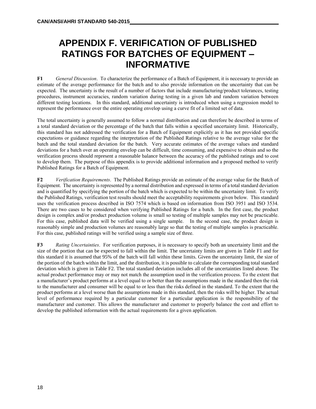# **APPENDIX F. VERIFICATION OF PUBLISHED RATINGS FOR BATCHES OF EQUIPMENT – INFORMATIVE**

**F1** *General Discussion*. To characterize the performance of a Batch of Equipment, it is necessary to provide an estimate of the average performance for the batch and to also provide information on the uncertainty that can be expected. The uncertainty is the result of a number of factors that include manufacturing/product tolerances, testing procedures, instrument accuracies, random variation during testing in a given lab and random variation between different testing locations. In this standard, additional uncertainty is introduced when using a regression model to represent the performance over the entire operating envelop using a curve fit of a limited set of data.

The total uncertainty is generally assumed to follow a normal distribution and can therefore be described in terms of a total standard deviation or the percentage of the batch that falls within a specified uncertainty limit. Historically, this standard has not addressed the verification for a Batch of Equipment explicitly as it has not provided specific expectations or guidance regarding the interpretation of the Published Ratings relative to the average value for the batch and the total standard deviation for the batch. Very accurate estimates of the average values and standard deviations for a batch over an operating envelop can be difficult, time consuming, and expensive to obtain and so the verification process should represent a reasonable balance between the accuracy of the published ratings and to cost to develop them. The purpose of this appendix is to provide additional information and a proposed method to verify Published Ratings for a Batch of Equipment.

**F2** *Verification Requirements*. The Published Ratings provide an estimate of the average value for the Batch of Equipment. The uncertainty is represented by a normal distribution and expressed in terms of a total standard deviation and is quantified by specifying the portion of the batch which is expected to be within the uncertainty limit. To verify the Published Ratings, verification test results should meet the acceptability requirements given below. This standard uses the verification process described in ISO 7574 which is based on information from ISO 3951 and ISO 3534. There are two cases to be considered when verifying Published Ratings for a batch. In the first case, the product design is complex and/or product production volume is small so testing of multiple samples may not be practicable. For this case, published data will be verified using a single sample. In the second case, the product design is reasonably simple and production volumes are reasonably large so that the testing of multiple samples is practicable. For this case, published ratings will be verified using a sample size of three.

**F3** *Rating Uncertainties*. For verification purposes, it is necessary to specify both an uncertainty limit and the size of the portion that can be expected to fall within the limit. The uncertainty limits are given in Table F1 and for this standard it is assumed that 95% of the batch will fall within these limits. Given the uncertainty limit, the size of the portion of the batch within the limit, and the distribution, it is possible to calculate the corresponding total standard deviation which is given in Table F2. The total standard deviation includes all of the uncertainties listed above. The actual product performance may or may not match the assumption used in the verification process. To the extent that a manufacturer's product performs at a level equal to or better than the assumptions made in the standard then the risk to the manufacturer and consumer will be equal to or less than the risks defined in the standard. To the extent that the product performs at a level worse than the assumptions made in this standard, then the risks will be higher. The actual level of performance required by a particular customer for a particular application is the responsibility of the manufacturer and customer. This allows the manufacturer and customer to properly balance the cost and effort to develop the published information with the actual requirements for a given application.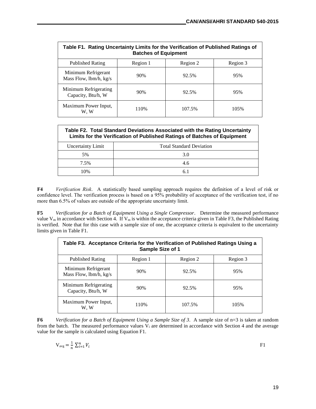| Table F1. Rating Uncertainty Limits for the Verification of Published Ratings of<br><b>Batches of Equipment</b> |          |          |          |  |  |  |
|-----------------------------------------------------------------------------------------------------------------|----------|----------|----------|--|--|--|
| <b>Published Rating</b>                                                                                         | Region 1 | Region 2 | Region 3 |  |  |  |
| Minimum Refrigerant<br>Mass Flow, lbm/h, kg/s                                                                   | 90%      | 92.5%    | 95%      |  |  |  |
| Minimum Refrigerating<br>Capacity, Btu/h, W                                                                     | 90%      | 92.5%    | 95%      |  |  |  |
| Maximum Power Input,<br>W. W                                                                                    | 110%     | 107.5%   | 105%     |  |  |  |

| Table F2. Total Standard Deviations Associated with the Rating Uncertainty<br>Limits for the Verification of Published Ratings of Batches of Equipment |     |  |  |  |
|--------------------------------------------------------------------------------------------------------------------------------------------------------|-----|--|--|--|
| Uncertainty Limit<br><b>Total Standard Deviation</b>                                                                                                   |     |  |  |  |
| 5%                                                                                                                                                     | 3.0 |  |  |  |
| 7.5%                                                                                                                                                   | 4.6 |  |  |  |
| 10%                                                                                                                                                    | 6.1 |  |  |  |
|                                                                                                                                                        |     |  |  |  |

**F4** *Verification Risk*. A statistically based sampling approach requires the definition of a level of risk or confidence level. The verification process is based on a 95% probability of acceptance of the verification test, if no more than 6.5% of values are outside of the appropriate uncertainty limit.

**F5** *Verification for a Batch of Equipment Using a Single Compressor*. Determine the measured performance value  $V_m$  in accordance with Section 4. If  $V_m$  is within the acceptance criteria given in Table F3, the Published Rating is verified. Note that for this case with a sample size of one, the acceptance criteria is equivalent to the uncertainty limits given in Table F1.

| Table F3. Acceptance Criteria for the Verification of Published Ratings Using a<br>Sample Size of 1 |          |          |          |  |  |
|-----------------------------------------------------------------------------------------------------|----------|----------|----------|--|--|
| <b>Published Rating</b>                                                                             | Region 1 | Region 2 | Region 3 |  |  |
| Minimum Refrigerant<br>Mass Flow, $lbm/h$ , $kg/s$                                                  | 90%      | 92.5%    | 95%      |  |  |
| Minimum Refrigerating<br>Capacity, Btu/h, W                                                         | 90%      | 92.5%    | 95%      |  |  |
| Maximum Power Input,<br>W. W                                                                        | 110%     | 107.5%   | 105%     |  |  |

**F6** *Verification for a Batch of Equipment Using a Sample Size of 3*. A sample size of n=3 is taken at random from the batch. The measured performance values  $V_i$  are determined in accordance with Section 4 and the average value for the sample is calculated using Equation F1.

$$
V_{avg} = \frac{1}{n} \sum_{i=1}^{n} V_i
$$